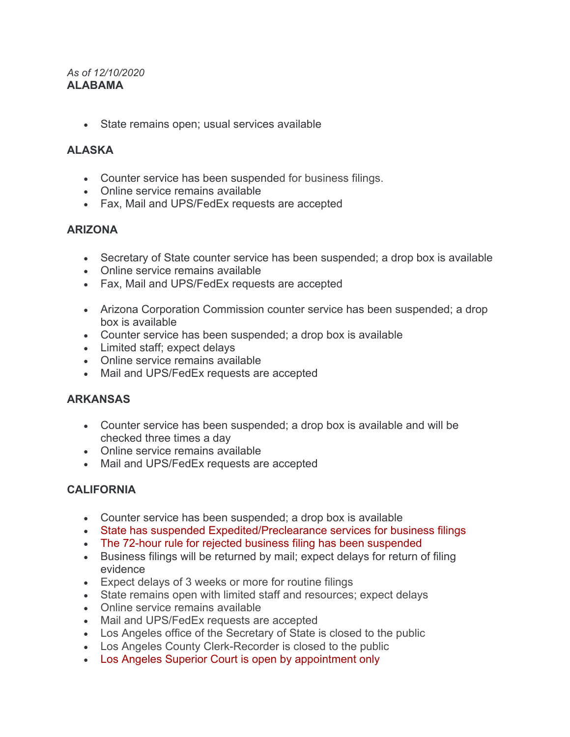#### *As of 12/10/2020* **ALABAMA**

• State remains open; usual services available

# **ALASKA**

- Counter service has been suspended for business filings.
- Online service remains available
- Fax, Mail and UPS/FedEx requests are accepted

### **ARIZONA**

- Secretary of State counter service has been suspended; a drop box is available
- Online service remains available
- Fax, Mail and UPS/FedEx requests are accepted
- Arizona Corporation Commission counter service has been suspended; a drop box is available
- Counter service has been suspended; a drop box is available
- Limited staff; expect delays
- Online service remains available
- Mail and UPS/FedEx requests are accepted

### **ARKANSAS**

- Counter service has been suspended; a drop box is available and will be checked three times a day
- Online service remains available
- Mail and UPS/FedEx requests are accepted

# **CALIFORNIA**

- Counter service has been suspended; a drop box is available
- State has suspended Expedited/Preclearance services for business filings
- The 72-hour rule for rejected business filing has been suspended
- Business filings will be returned by mail; expect delays for return of filing evidence
- Expect delays of 3 weeks or more for routine filings
- State remains open with limited staff and resources; expect delays
- Online service remains available
- Mail and UPS/FedEx requests are accepted
- Los Angeles office of the Secretary of State is closed to the public
- Los Angeles County Clerk-Recorder is closed to the public
- Los Angeles Superior Court is open by appointment only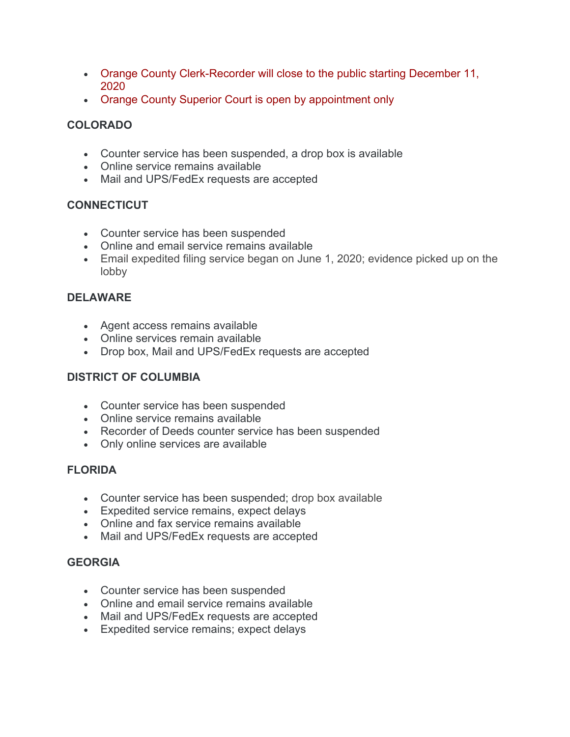- Orange County Clerk-Recorder will close to the public starting December 11, 2020
- Orange County Superior Court is open by appointment only

# **COLORADO**

- Counter service has been suspended, a drop box is available
- Online service remains available
- Mail and UPS/FedEx requests are accepted

# **CONNECTICUT**

- Counter service has been suspended
- Online and email service remains available
- Email expedited filing service began on June 1, 2020; evidence picked up on the lobby

# **DELAWARE**

- Agent access remains available
- Online services remain available
- Drop box, Mail and UPS/FedEx requests are accepted

# **DISTRICT OF COLUMBIA**

- Counter service has been suspended
- Online service remains available
- Recorder of Deeds counter service has been suspended
- Only online services are available

# **FLORIDA**

- Counter service has been suspended; drop box available
- Expedited service remains, expect delays
- Online and fax service remains available
- Mail and UPS/FedEx requests are accepted

# **GEORGIA**

- Counter service has been suspended
- Online and email service remains available
- Mail and UPS/FedEx requests are accepted
- Expedited service remains; expect delays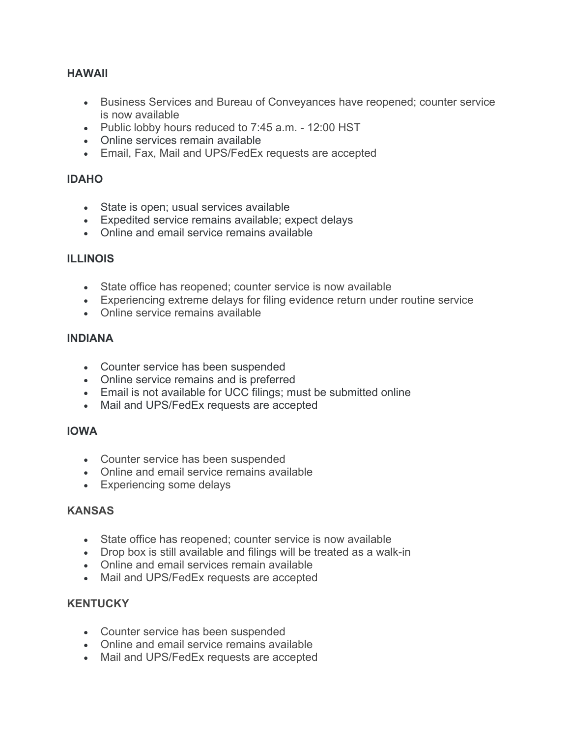### **HAWAII**

- Business Services and Bureau of Conveyances have reopened; counter service is now available
- Public lobby hours reduced to 7:45 a.m. 12:00 HST
- Online services remain available
- Email, Fax, Mail and UPS/FedEx requests are accepted

### **IDAHO**

- State is open; usual services available
- Expedited service remains available; expect delays
- Online and email service remains available

### **ILLINOIS**

- State office has reopened; counter service is now available
- Experiencing extreme delays for filing evidence return under routine service
- Online service remains available

### **INDIANA**

- Counter service has been suspended
- Online service remains and is preferred
- Email is not available for UCC filings; must be submitted online
- Mail and UPS/FedEx requests are accepted

### **IOWA**

- Counter service has been suspended
- Online and email service remains available
- Experiencing some delays

### **KANSAS**

- State office has reopened; counter service is now available
- Drop box is still available and filings will be treated as a walk-in
- Online and email services remain available
- Mail and UPS/FedEx requests are accepted

### **KENTUCKY**

- Counter service has been suspended
- Online and email service remains available
- Mail and UPS/FedEx requests are accepted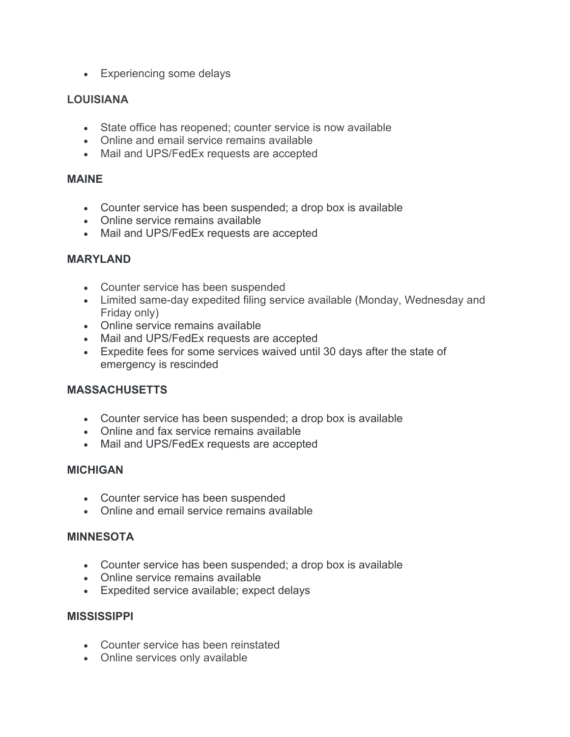• Experiencing some delays

# **LOUISIANA**

- State office has reopened; counter service is now available
- Online and email service remains available
- Mail and UPS/FedEx requests are accepted

### **MAINE**

- Counter service has been suspended; a drop box is available
- Online service remains available
- Mail and UPS/FedEx requests are accepted

# **MARYLAND**

- Counter service has been suspended
- Limited same-day expedited filing service available (Monday, Wednesday and Friday only)
- Online service remains available
- Mail and UPS/FedEx requests are accepted
- Expedite fees for some services waived until 30 days after the state of emergency is rescinded

# **MASSACHUSETTS**

- Counter service has been suspended; a drop box is available
- Online and fax service remains available
- Mail and UPS/FedEx requests are accepted

# **MICHIGAN**

- Counter service has been suspended
- Online and email service remains available

# **MINNESOTA**

- Counter service has been suspended; a drop box is available
- Online service remains available
- Expedited service available; expect delays

### **MISSISSIPPI**

- Counter service has been reinstated
- Online services only available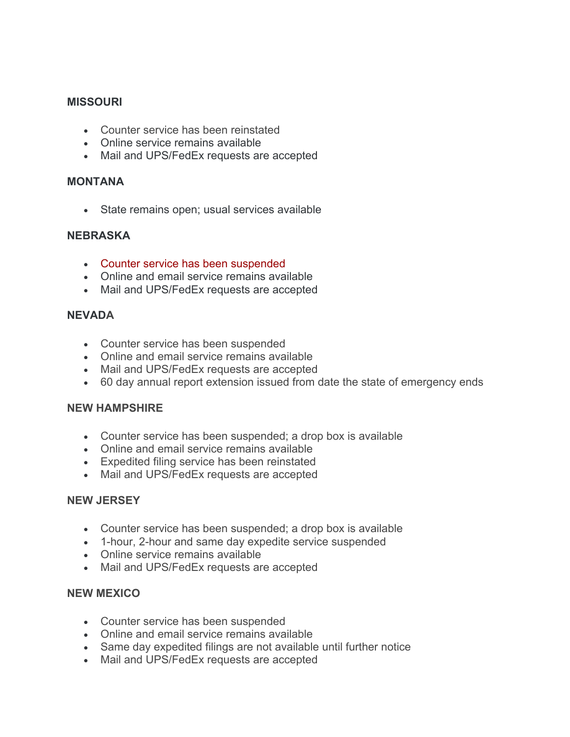### **MISSOURI**

- Counter service has been reinstated
- Online service remains available
- Mail and UPS/FedEx requests are accepted

#### **MONTANA**

• State remains open; usual services available

### **NEBRASKA**

- Counter service has been suspended
- Online and email service remains available
- Mail and UPS/FedEx requests are accepted

#### **NEVADA**

- Counter service has been suspended
- Online and email service remains available
- Mail and UPS/FedEx requests are accepted
- 60 day annual report extension issued from date the state of emergency ends

#### **NEW HAMPSHIRE**

- Counter service has been suspended; a drop box is available
- Online and email service remains available
- Expedited filing service has been reinstated
- Mail and UPS/FedEx requests are accepted

#### **NEW JERSEY**

- Counter service has been suspended; a drop box is available
- 1-hour, 2-hour and same day expedite service suspended
- Online service remains available
- Mail and UPS/FedEx requests are accepted

#### **NEW MEXICO**

- Counter service has been suspended
- Online and email service remains available
- Same day expedited filings are not available until further notice
- Mail and UPS/FedEx requests are accepted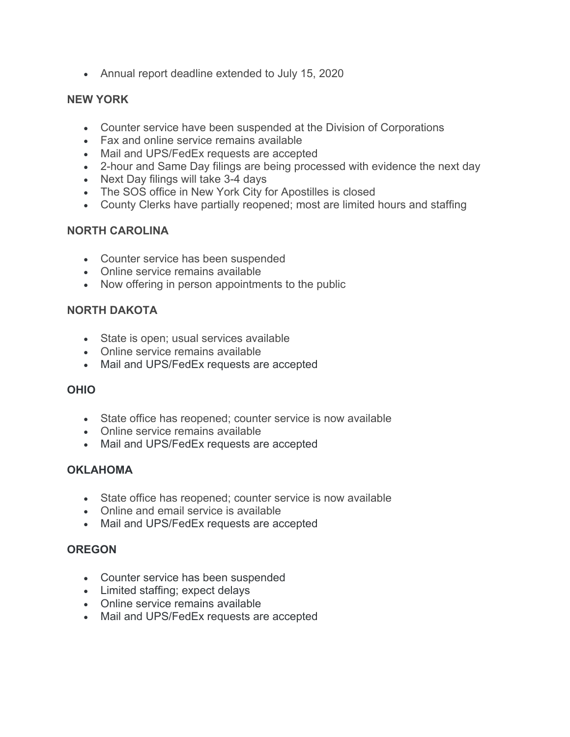• Annual report deadline extended to July 15, 2020

### **NEW YORK**

- Counter service have been suspended at the Division of Corporations
- Fax and online service remains available
- Mail and UPS/FedEx requests are accepted
- 2-hour and Same Day filings are being processed with evidence the next day
- Next Day filings will take 3-4 days
- The SOS office in New York City for Apostilles is closed
- County Clerks have partially reopened; most are limited hours and staffing

# **NORTH CAROLINA**

- Counter service has been suspended
- Online service remains available
- Now offering in person appointments to the public

### **NORTH DAKOTA**

- State is open; usual services available
- Online service remains available
- Mail and UPS/FedEx requests are accepted

# **OHIO**

- State office has reopened; counter service is now available
- Online service remains available
- Mail and UPS/FedEx requests are accepted

# **OKLAHOMA**

- State office has reopened; counter service is now available
- Online and email service is available
- Mail and UPS/FedEx requests are accepted

# **OREGON**

- Counter service has been suspended
- Limited staffing; expect delays
- Online service remains available
- Mail and UPS/FedEx requests are accepted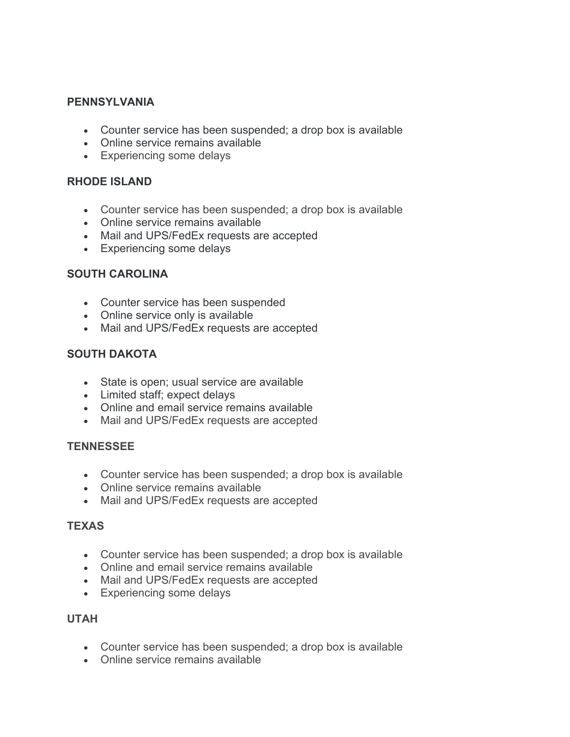### **PENNSYLVANIA**

- Counter service has been suspended; a drop box is available
- Online service remains available
- Experiencing some delays

### **RHODE ISLAND**

- Counter service has been suspended; a drop box is available
- Online service remains available
- Mail and UPS/FedEx requests are accepted
- Experiencing some delays

### **SOUTH CAROLINA**

- Counter service has been suspended
- Online service only is available
- Mail and UPS/FedEx requests are accepted

### **SOUTH DAKOTA**

- State is open; usual service are available
- Limited staff; expect delays
- Online and email service remains available
- Mail and UPS/FedEx requests are accepted

### **TENNESSEE**

- Counter service has been suspended; a drop box is available
- Online service remains available
- Mail and UPS/FedEx requests are accepted

### **TEXAS**

- Counter service has been suspended; a drop box is available
- Online and email service remains available
- Mail and UPS/FedEx requests are accepted
- Experiencing some delays

### **UTAH**

- Counter service has been suspended; a drop box is available
- Online service remains available